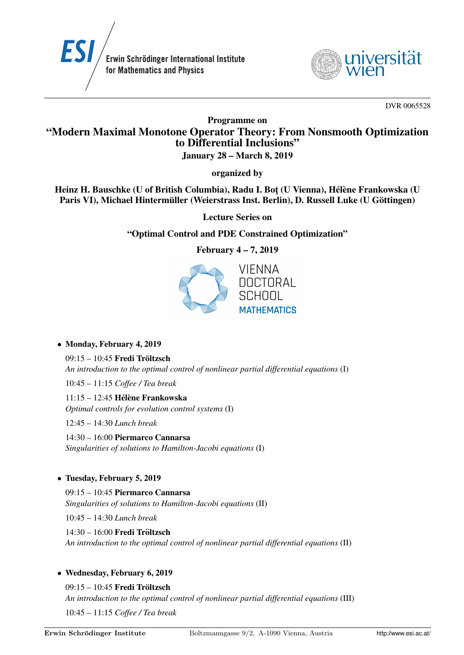



DVR 0065528

# Programme on "Modern Maximal Monotone Operator Theory: From Nonsmooth Optimization to Differential Inclusions"

January 28 – March 8, 2019

organized by

Heinz H. Bauschke (U of British Columbia), Radu I. Bot (U Vienna), Hélène Frankowska (U Paris VI), Michael Hintermüller (Weierstrass Inst. Berlin), D. Russell Luke (U Göttingen)

Lecture Series on

## "Optimal Control and PDE Constrained Optimization"

February 4 – 7, 2019



### • Monday, February 4, 2019

09:15 – 10:45 Fredi Tröltzsch *An introduction to the optimal control of nonlinear partial differential equations* (I)

10:45 – 11:15 *Coffee / Tea break*

 $11:15 - 12:45$  Hélène Frankowska *Optimal controls for evolution control systems* (I)

12:45 – 14:30 *Lunch break*

14:30 – 16:00 Piermarco Cannarsa *Singularities of solutions to Hamilton-Jacobi equations* (I)

## • Tuesday, February 5, 2019

09:15 – 10:45 Piermarco Cannarsa *Singularities of solutions to Hamilton-Jacobi equations* (II)

10:45 – 14:30 *Lunch break*

14:30 – 16:00 Fredi Tröltzsch *An introduction to the optimal control of nonlinear partial differential equations* (II)

### • Wednesday, February 6, 2019

09:15 – 10:45 Fredi Tröltzsch *An introduction to the optimal control of nonlinear partial differential equations* (III) 10:45 – 11:15 *Coffee / Tea break*